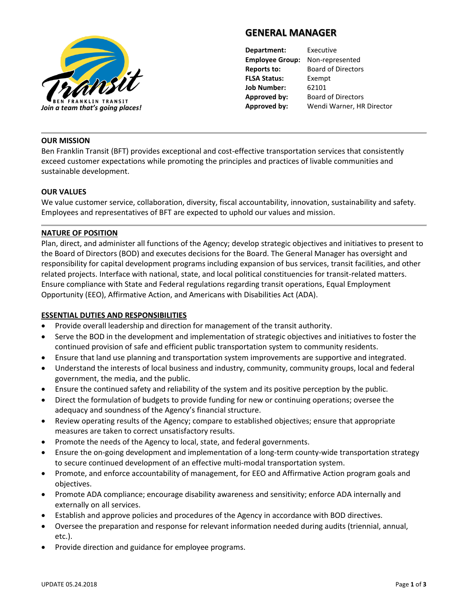

# **GENERAL MANAGER**

**Department:** Executive **Employee Group:** Non-represented **Reports to:** Board of Directors **FLSA Status:** Exempt **Job Number:** 62101 **Approved by:** Board of Directors

# **OUR MISSION**

Ben Franklin Transit (BFT) provides exceptional and cost-effective transportation services that consistently exceed customer expectations while promoting the principles and practices of livable communities and sustainable development.

# **OUR VALUES**

We value customer service, collaboration, diversity, fiscal accountability, innovation, sustainability and safety. Employees and representatives of BFT are expected to uphold our values and mission.

### **NATURE OF POSITION**

Plan, direct, and administer all functions of the Agency; develop strategic objectives and initiatives to present to the Board of Directors (BOD) and executes decisions for the Board. The General Manager has oversight and responsibility for capital development programs including expansion of bus services, transit facilities, and other related projects. Interface with national, state, and local political constituencies for transit-related matters. Ensure compliance with State and Federal regulations regarding transit operations, Equal Employment Opportunity (EEO), Affirmative Action, and Americans with Disabilities Act (ADA).

# **ESSENTIAL DUTIES AND RESPONSIBILITIES**

- Provide overall leadership and direction for management of the transit authority.
- Serve the BOD in the development and implementation of strategic objectives and initiatives to foster the continued provision of safe and efficient public transportation system to community residents.
- Ensure that land use planning and transportation system improvements are supportive and integrated.
- Understand the interests of local business and industry, community, community groups, local and federal government, the media, and the public.
- Ensure the continued safety and reliability of the system and its positive perception by the public.
- Direct the formulation of budgets to provide funding for new or continuing operations; oversee the adequacy and soundness of the Agency's financial structure.
- Review operating results of the Agency; compare to established objectives; ensure that appropriate measures are taken to correct unsatisfactory results.
- Promote the needs of the Agency to local, state, and federal governments.
- Ensure the on-going development and implementation of a long-term county-wide transportation strategy to secure continued development of an effective multi-modal transportation system.
- Promote, and enforce accountability of management, for EEO and Affirmative Action program goals and objectives.
- Promote ADA compliance; encourage disability awareness and sensitivity; enforce ADA internally and externally on all services.
- Establish and approve policies and procedures of the Agency in accordance with BOD directives.
- Oversee the preparation and response for relevant information needed during audits (triennial, annual, etc.).
- Provide direction and guidance for employee programs.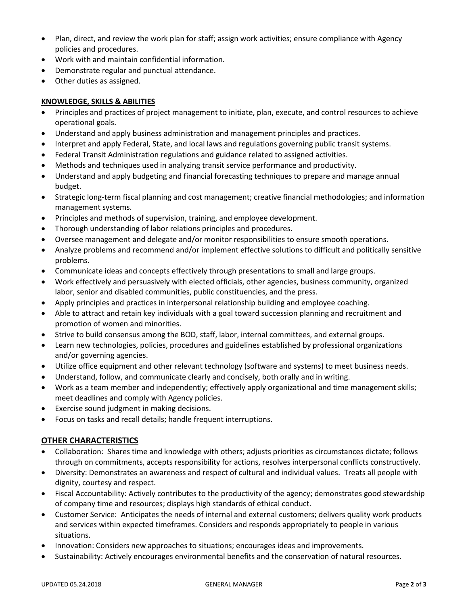- Plan, direct, and review the work plan for staff; assign work activities; ensure compliance with Agency policies and procedures.
- Work with and maintain confidential information.
- Demonstrate regular and punctual attendance.
- Other duties as assigned.

# **KNOWLEDGE, SKILLS & ABILITIES**

- Principles and practices of project management to initiate, plan, execute, and control resources to achieve operational goals.
- Understand and apply business administration and management principles and practices.
- Interpret and apply Federal, State, and local laws and regulations governing public transit systems.
- Federal Transit Administration regulations and guidance related to assigned activities.
- Methods and techniques used in analyzing transit service performance and productivity.
- Understand and apply budgeting and financial forecasting techniques to prepare and manage annual budget.
- Strategic long-term fiscal planning and cost management; creative financial methodologies; and information management systems.
- Principles and methods of supervision, training, and employee development.
- Thorough understanding of labor relations principles and procedures.
- Oversee management and delegate and/or monitor responsibilities to ensure smooth operations.
- Analyze problems and recommend and/or implement effective solutions to difficult and politically sensitive problems.
- Communicate ideas and concepts effectively through presentations to small and large groups.
- Work effectively and persuasively with elected officials, other agencies, business community, organized labor, senior and disabled communities, public constituencies, and the press.
- Apply principles and practices in interpersonal relationship building and employee coaching.
- Able to attract and retain key individuals with a goal toward succession planning and recruitment and promotion of women and minorities.
- Strive to build consensus among the BOD, staff, labor, internal committees, and external groups.
- Learn new technologies, policies, procedures and guidelines established by professional organizations and/or governing agencies.
- Utilize office equipment and other relevant technology (software and systems) to meet business needs.
- Understand, follow, and communicate clearly and concisely, both orally and in writing.
- Work as a team member and independently; effectively apply organizational and time management skills; meet deadlines and comply with Agency policies.
- Exercise sound judgment in making decisions.
- Focus on tasks and recall details; handle frequent interruptions.

# **OTHER CHARACTERISTICS**

- Collaboration: Shares time and knowledge with others; adjusts priorities as circumstances dictate; follows through on commitments, accepts responsibility for actions, resolves interpersonal conflicts constructively.
- Diversity: Demonstrates an awareness and respect of cultural and individual values. Treats all people with dignity, courtesy and respect.
- Fiscal Accountability: Actively contributes to the productivity of the agency; demonstrates good stewardship of company time and resources; displays high standards of ethical conduct.
- Customer Service: Anticipates the needs of internal and external customers; delivers quality work products and services within expected timeframes. Considers and responds appropriately to people in various situations.
- Innovation: Considers new approaches to situations; encourages ideas and improvements.
- Sustainability: Actively encourages environmental benefits and the conservation of natural resources.